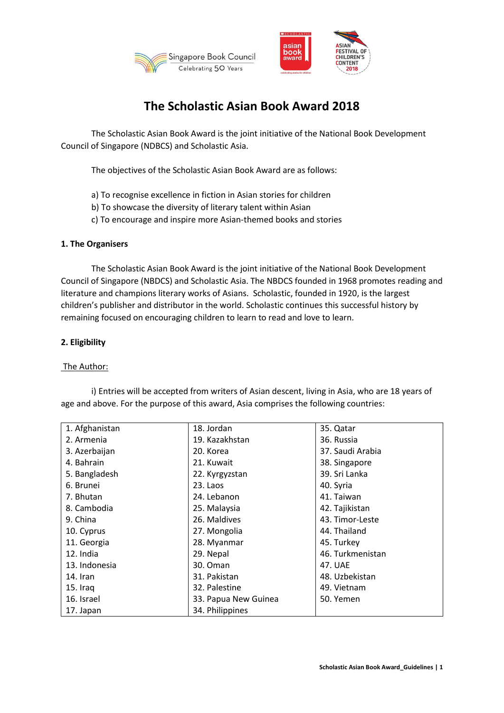



# **The Scholastic Asian Book Award 2018**

The Scholastic Asian Book Award is the joint initiative of the National Book Development Council of Singapore (NDBCS) and Scholastic Asia.

The objectives of the Scholastic Asian Book Award are as follows:

- a) To recognise excellence in fiction in Asian stories for children
- b) To showcase the diversity of literary talent within Asian
- c) To encourage and inspire more Asian-themed books and stories

### **1. The Organisers**

The Scholastic Asian Book Award is the joint initiative of the National Book Development Council of Singapore (NBDCS) and Scholastic Asia. The NBDCS founded in 1968 promotes reading and literature and champions literary works of Asians. Scholastic, founded in 1920, is the largest children's publisher and distributor in the world. Scholastic continues this successful history by remaining focused on encouraging children to learn to read and love to learn.

# **2. Eligibility**

#### The Author:

15. Iraq 16. Israel 17. Japan

| age and above. For the purpose of this award, Asia comprises the following countries: |                |                  |
|---------------------------------------------------------------------------------------|----------------|------------------|
| 1. Afghanistan                                                                        | 18. Jordan     | 35. Qatar        |
| 2. Armenia                                                                            | 19. Kazakhstan | 36. Russia       |
| 3. Azerbaijan                                                                         | 20. Korea      | 37. Saudi Arabia |
| 4. Bahrain                                                                            | 21. Kuwait     | 38. Singapore    |
| 5. Bangladesh                                                                         | 22. Kyrgyzstan | 39. Sri Lanka    |
| 6. Brunei                                                                             | 23. Laos       | 40. Syria        |
| 7. Bhutan                                                                             | 24. Lebanon    | 41. Taiwan       |
| 8. Cambodia                                                                           | 25. Malaysia   | 42. Tajikistan   |
| 9. China                                                                              | 26. Maldives   | 43. Timor-Leste  |
| 10. Cyprus                                                                            | 27. Mongolia   | 44. Thailand     |
| 11. Georgia                                                                           | 28. Myanmar    | 45. Turkey       |
| 12. India                                                                             | 29. Nepal      | 46. Turkmenistan |
| 13. Indonesia                                                                         | 30. Oman       | 47. UAE          |
| 14. Iran                                                                              | 31. Pakistan   | 48. Uzbekistan   |

32. Palestine

34. Philippines

33. Papua New Guinea

i) Entries will be accepted from writers of Asian descent, living in Asia, who are 18 years of

49. Vietnam 50. Yemen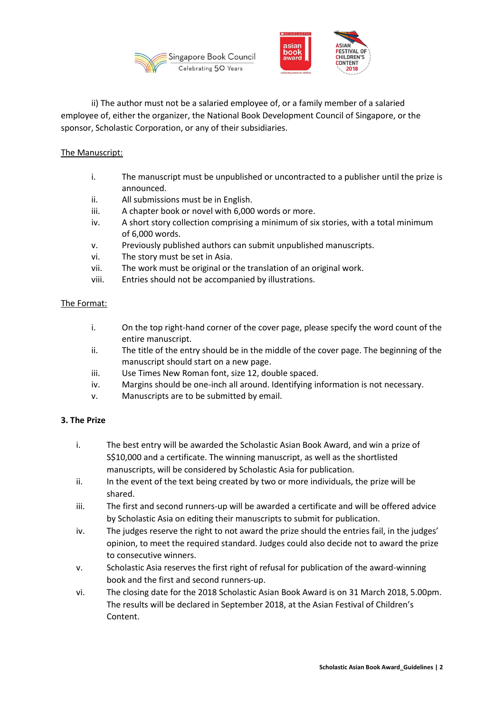



ii) The author must not be a salaried employee of, or a family member of a salaried employee of, either the organizer, the National Book Development Council of Singapore, or the sponsor, Scholastic Corporation, or any of their subsidiaries.

# The Manuscript:

- i. The manuscript must be unpublished or uncontracted to a publisher until the prize is announced.
- ii. All submissions must be in English.
- iii. A chapter book or novel with 6,000 words or more.
- iv. A short story collection comprising a minimum of six stories, with a total minimum of 6,000 words.
- v. Previously published authors can submit unpublished manuscripts.
- vi. The story must be set in Asia.
- vii. The work must be original or the translation of an original work.
- viii. Entries should not be accompanied by illustrations.

# The Format:

- i. On the top right-hand corner of the cover page, please specify the word count of the entire manuscript.
- ii. The title of the entry should be in the middle of the cover page. The beginning of the manuscript should start on a new page.
- iii. Use Times New Roman font, size 12, double spaced.
- iv. Margins should be one-inch all around. Identifying information is not necessary.
- v. Manuscripts are to be submitted by email.

# **3. The Prize**

- i. The best entry will be awarded the Scholastic Asian Book Award, and win a prize of S\$10,000 and a certificate. The winning manuscript, as well as the shortlisted manuscripts, will be considered by Scholastic Asia for publication.
- ii. In the event of the text being created by two or more individuals, the prize will be shared.
- iii. The first and second runners-up will be awarded a certificate and will be offered advice by Scholastic Asia on editing their manuscripts to submit for publication.
- iv. The judges reserve the right to not award the prize should the entries fail, in the judges' opinion, to meet the required standard. Judges could also decide not to award the prize to consecutive winners.
- v. Scholastic Asia reserves the first right of refusal for publication of the award-winning book and the first and second runners-up.
- vi. The closing date for the 2018 Scholastic Asian Book Award is on 31 March 2018, 5.00pm. The results will be declared in September 2018, at the Asian Festival of Children's Content.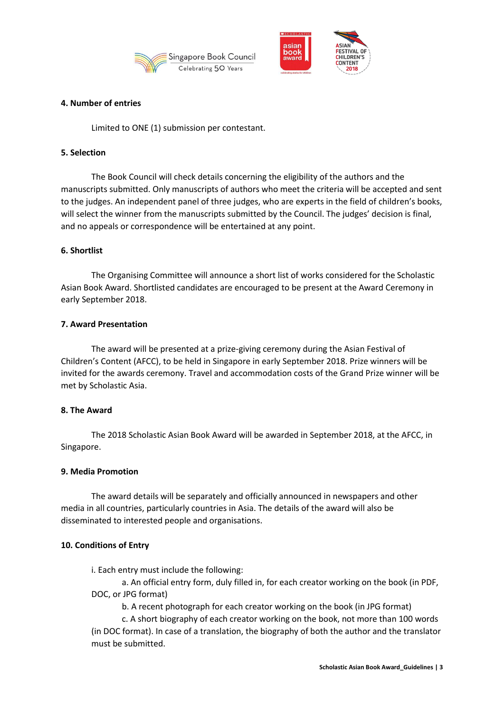



## **4. Number of entries**

Limited to ONE (1) submission per contestant.

## **5. Selection**

The Book Council will check details concerning the eligibility of the authors and the manuscripts submitted. Only manuscripts of authors who meet the criteria will be accepted and sent to the judges. An independent panel of three judges, who are experts in the field of children's books, will select the winner from the manuscripts submitted by the Council. The judges' decision is final, and no appeals or correspondence will be entertained at any point.

# **6. Shortlist**

The Organising Committee will announce a short list of works considered for the Scholastic Asian Book Award. Shortlisted candidates are encouraged to be present at the Award Ceremony in early September 2018.

### **7. Award Presentation**

The award will be presented at a prize-giving ceremony during the Asian Festival of Children's Content (AFCC), to be held in Singapore in early September 2018. Prize winners will be invited for the awards ceremony. Travel and accommodation costs of the Grand Prize winner will be met by Scholastic Asia.

#### **8. The Award**

The 2018 Scholastic Asian Book Award will be awarded in September 2018, at the AFCC, in Singapore.

#### **9. Media Promotion**

The award details will be separately and officially announced in newspapers and other media in all countries, particularly countries in Asia. The details of the award will also be disseminated to interested people and organisations.

# **10. Conditions of Entry**

i. Each entry must include the following:

a. An official entry form, duly filled in, for each creator working on the book (in PDF, DOC, or JPG format)

b. A recent photograph for each creator working on the book (in JPG format)

c. A short biography of each creator working on the book, not more than 100 words (in DOC format). In case of a translation, the biography of both the author and the translator must be submitted.